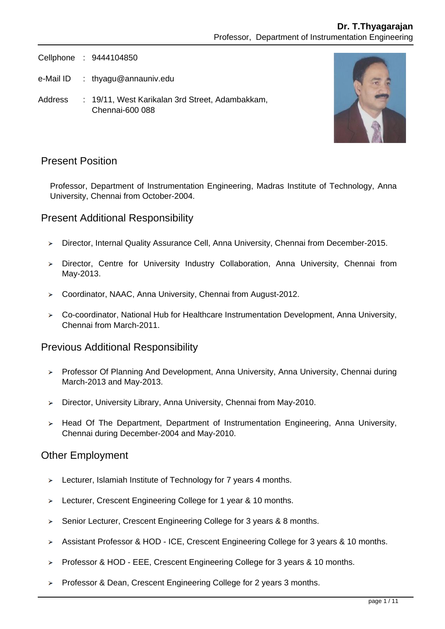Cellphone : 9444104850

- e-Mail ID : thyagu@annauniv.edu
- Address : 19/11, West Karikalan 3rd Street, Adambakkam, Chennai-600 088



### Present Position

Professor, Department of Instrumentation Engineering, Madras Institute of Technology, Anna University, Chennai from October-2004.

### Present Additional Responsibility

- Director, Internal Quality Assurance Cell, Anna University, Chennai from December-2015.  $\blacktriangleright$
- $\geq$  Director, Centre for University Industry Collaboration, Anna University, Chennai from May-2013.
- Coordinator, NAAC, Anna University, Chennai from August-2012.
- Co-coordinator, National Hub for Healthcare Instrumentation Development, Anna University, Chennai from March-2011.

#### Previous Additional Responsibility

- ▶ Professor Of Planning And Development, Anna University, Anna University, Chennai during March-2013 and May-2013.
- > Director, University Library, Anna University, Chennai from May-2010.
- $\geq$  Head Of The Department, Department of Instrumentation Engineering, Anna University, Chennai during December-2004 and May-2010.

#### Other Employment

- $\geq$  Lecturer, Islamiah Institute of Technology for 7 years 4 months.
- Lecturer, Crescent Engineering College for 1 year & 10 months.  $\blacktriangleright$
- Senior Lecturer, Crescent Engineering College for 3 years & 8 months.  $\mathbf{r}$
- Assistant Professor & HOD ICE, Crescent Engineering College for 3 years & 10 months.
- Professor & HOD EEE, Crescent Engineering College for 3 years & 10 months.
- $\triangleright$  Professor & Dean, Crescent Engineering College for 2 years 3 months.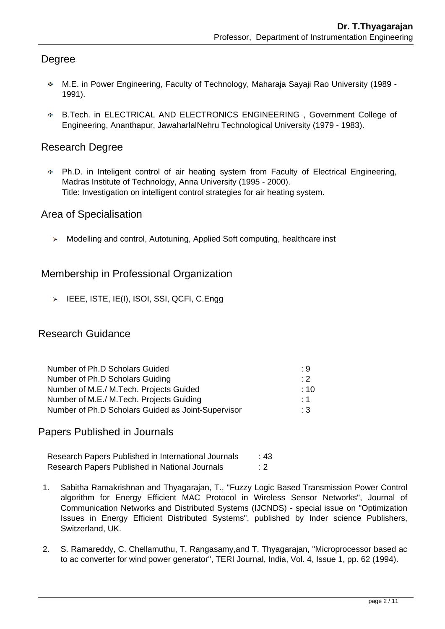# Degree

- M.E. in Power Engineering, Faculty of Technology, Maharaja Sayaji Rao University (1989 1991).
- B.Tech. in ELECTRICAL AND ELECTRONICS ENGINEERING , Government College of Engineering, Ananthapur, JawaharlalNehru Technological University (1979 - 1983).

# Research Degree

Ph.D. in Inteligent control of air heating system from Faculty of Electrical Engineering, Madras Institute of Technology, Anna University (1995 - 2000). Title: Investigation on intelligent control strategies for air heating system.

## Area of Specialisation

Modelling and control, Autotuning, Applied Soft computing, healthcare inst

## Membership in Professional Organization

 $\triangleright$  IEEE, ISTE, IE(I), ISOI, SSI, QCFI, C.Engg

### Research Guidance

| Number of Ph.D Scholars Guided                     | : 9       |
|----------------------------------------------------|-----------|
| Number of Ph.D Scholars Guiding                    | $\cdot$ 2 |
| Number of M.E./ M.Tech. Projects Guided            | :10       |
| Number of M.E./ M.Tech. Projects Guiding           | : 1       |
| Number of Ph.D Scholars Guided as Joint-Supervisor | $\cdot$ 3 |

### Papers Published in Journals

Research Papers Published in International Journals : 43 Research Papers Published in National Journals : 2

- 1. Sabitha Ramakrishnan and Thyagarajan, T., "Fuzzy Logic Based Transmission Power Control algorithm for Energy Efficient MAC Protocol in Wireless Sensor Networks", Journal of Communication Networks and Distributed Systems (IJCNDS) - special issue on "Optimization Issues in Energy Efficient Distributed Systems", published by Inder science Publishers, Switzerland, UK.
- 2. S. Ramareddy, C. Chellamuthu, T. Rangasamy,and T. Thyagarajan, "Microprocessor based ac to ac converter for wind power generator", TERI Journal, India, Vol. 4, Issue 1, pp. 62 (1994).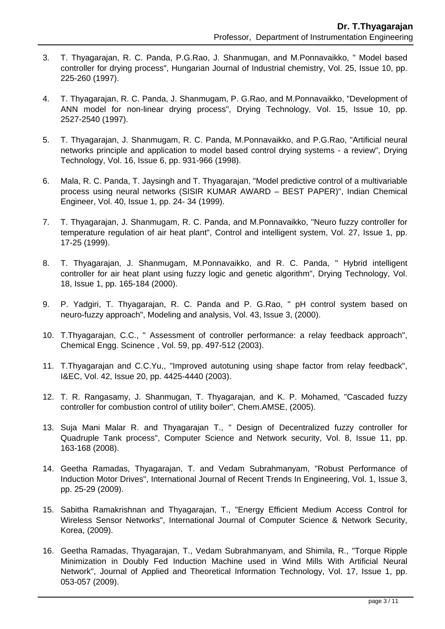- 3. T. Thyagarajan, R. C. Panda, P.G.Rao, J. Shanmugan, and M.Ponnavaikko, " Model based controller for drying process", Hungarian Journal of Industrial chemistry, Vol. 25, Issue 10, pp. 225-260 (1997).
- 4. T. Thyagarajan, R. C. Panda, J. Shanmugam, P. G.Rao, and M.Ponnavaikko, "Development of ANN model for non-linear drying process", Drying Technology, Vol. 15, Issue 10, pp. 2527-2540 (1997).
- 5. T. Thyagarajan, J. Shanmugam, R. C. Panda, M.Ponnavaikko, and P.G.Rao, "Artificial neural networks principle and application to model based control drying systems - a review", Drying Technology, Vol. 16, Issue 6, pp. 931-966 (1998).
- 6. Mala, R. C. Panda, T. Jaysingh and T. Thyagarajan, "Model predictive control of a multivariable process using neural networks (SISIR KUMAR AWARD – BEST PAPER)", Indian Chemical Engineer, Vol. 40, Issue 1, pp. 24- 34 (1999).
- 7. T. Thyagarajan, J. Shanmugam, R. C. Panda, and M.Ponnavaikko, "Neuro fuzzy controller for temperature regulation of air heat plant", Control and intelligent system, Vol. 27, Issue 1, pp. 17-25 (1999).
- 8. T. Thyagarajan, J. Shanmugam, M.Ponnavaikko, and R. C. Panda, " Hybrid intelligent controller for air heat plant using fuzzy logic and genetic algorithm", Drying Technology, Vol. 18, Issue 1, pp. 165-184 (2000).
- 9. P. Yadgiri, T. Thyagarajan, R. C. Panda and P. G.Rao, " pH control system based on neuro-fuzzy approach", Modeling and analysis, Vol. 43, Issue 3, (2000).
- 10. T.Thyagarajan, C.C., " Assessment of controller performance: a relay feedback approach", Chemical Engg. Scinence , Vol. 59, pp. 497-512 (2003).
- 11. T.Thyagarajan and C.C.Yu,, "Improved autotuning using shape factor from relay feedback", I&EC, Vol. 42, Issue 20, pp. 4425-4440 (2003).
- 12. T. R. Rangasamy, J. Shanmugan, T. Thyagarajan, and K. P. Mohamed, "Cascaded fuzzy controller for combustion control of utility boiler", Chem.AMSE, (2005).
- 13. Suja Mani Malar R. and Thyagarajan T., " Design of Decentralized fuzzy controller for Quadruple Tank process", Computer Science and Network security, Vol. 8, Issue 11, pp. 163-168 (2008).
- 14. Geetha Ramadas, Thyagarajan, T. and Vedam Subrahmanyam, "Robust Performance of Induction Motor Drives", International Journal of Recent Trends In Engineering, Vol. 1, Issue 3, pp. 25-29 (2009).
- 15. Sabitha Ramakrishnan and Thyagarajan, T., "Energy Efficient Medium Access Control for Wireless Sensor Networks", International Journal of Computer Science & Network Security, Korea, (2009).
- 16. Geetha Ramadas, Thyagarajan, T., Vedam Subrahmanyam, and Shimila, R., "Torque Ripple Minimization in Doubly Fed Induction Machine used in Wind Mills With Artificial Neural Network", Journal of Applied and Theoretical Information Technology, Vol. 17, Issue 1, pp. 053-057 (2009).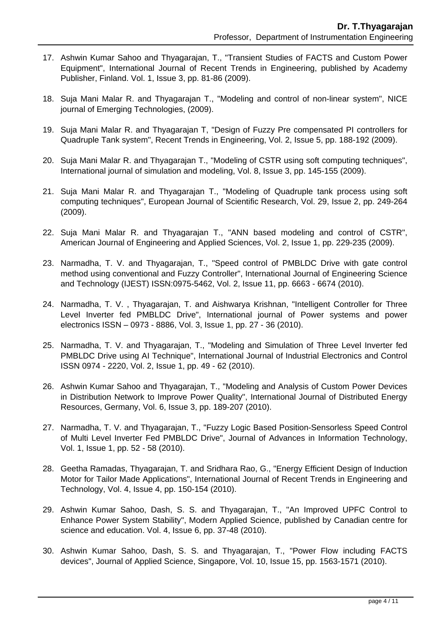- 17. Ashwin Kumar Sahoo and Thyagarajan, T., "Transient Studies of FACTS and Custom Power Equipment", International Journal of Recent Trends in Engineering, published by Academy Publisher, Finland. Vol. 1, Issue 3, pp. 81-86 (2009).
- 18. Suja Mani Malar R. and Thyagarajan T., "Modeling and control of non-linear system", NICE journal of Emerging Technologies, (2009).
- 19. Suja Mani Malar R. and Thyagarajan T, "Design of Fuzzy Pre compensated PI controllers for Quadruple Tank system", Recent Trends in Engineering, Vol. 2, Issue 5, pp. 188-192 (2009).
- 20. Suja Mani Malar R. and Thyagarajan T., "Modeling of CSTR using soft computing techniques", International journal of simulation and modeling, Vol. 8, Issue 3, pp. 145-155 (2009).
- 21. Suja Mani Malar R. and Thyagarajan T., "Modeling of Quadruple tank process using soft computing techniques", European Journal of Scientific Research, Vol. 29, Issue 2, pp. 249-264 (2009).
- 22. Suja Mani Malar R. and Thyagarajan T., "ANN based modeling and control of CSTR", American Journal of Engineering and Applied Sciences, Vol. 2, Issue 1, pp. 229-235 (2009).
- 23. Narmadha, T. V. and Thyagarajan, T., "Speed control of PMBLDC Drive with gate control method using conventional and Fuzzy Controller", International Journal of Engineering Science and Technology (IJEST) ISSN:0975-5462, Vol. 2, Issue 11, pp. 6663 - 6674 (2010).
- 24. Narmadha, T. V. , Thyagarajan, T. and Aishwarya Krishnan, "Intelligent Controller for Three Level Inverter fed PMBLDC Drive", International journal of Power systems and power electronics ISSN – 0973 - 8886, Vol. 3, Issue 1, pp. 27 - 36 (2010).
- 25. Narmadha, T. V. and Thyagarajan, T., "Modeling and Simulation of Three Level Inverter fed PMBLDC Drive using AI Technique", International Journal of Industrial Electronics and Control ISSN 0974 - 2220, Vol. 2, Issue 1, pp. 49 - 62 (2010).
- 26. Ashwin Kumar Sahoo and Thyagarajan, T., "Modeling and Analysis of Custom Power Devices in Distribution Network to Improve Power Quality", International Journal of Distributed Energy Resources, Germany, Vol. 6, Issue 3, pp. 189-207 (2010).
- 27. Narmadha, T. V. and Thyagarajan, T., "Fuzzy Logic Based Position-Sensorless Speed Control of Multi Level Inverter Fed PMBLDC Drive", Journal of Advances in Information Technology, Vol. 1, Issue 1, pp. 52 - 58 (2010).
- 28. Geetha Ramadas, Thyagarajan, T. and Sridhara Rao, G., "Energy Efficient Design of Induction Motor for Tailor Made Applications", International Journal of Recent Trends in Engineering and Technology, Vol. 4, Issue 4, pp. 150-154 (2010).
- 29. Ashwin Kumar Sahoo, Dash, S. S. and Thyagarajan, T., "An Improved UPFC Control to Enhance Power System Stability", Modern Applied Science, published by Canadian centre for science and education. Vol. 4, Issue 6, pp. 37-48 (2010).
- 30. Ashwin Kumar Sahoo, Dash, S. S. and Thyagarajan, T., "Power Flow including FACTS devices", Journal of Applied Science, Singapore, Vol. 10, Issue 15, pp. 1563-1571 (2010).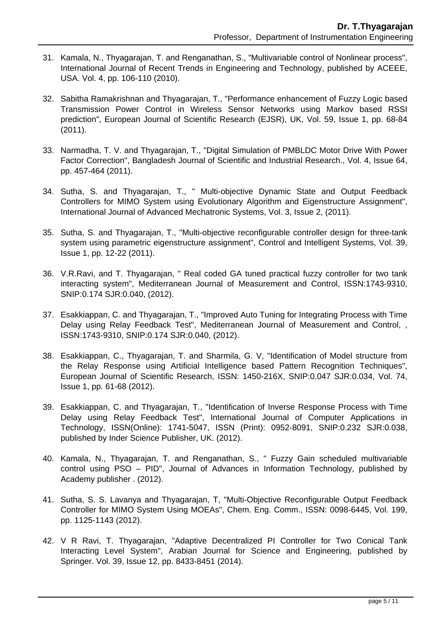- 31. Kamala, N., Thyagarajan, T. and Renganathan, S., "Multivariable control of Nonlinear process", International Journal of Recent Trends in Engineering and Technology, published by ACEEE, USA. Vol. 4, pp. 106-110 (2010).
- 32. Sabitha Ramakrishnan and Thyagarajan, T., "Performance enhancement of Fuzzy Logic based Transmission Power Control in Wireless Sensor Networks using Markov based RSSI prediction", European Journal of Scientific Research (EJSR), UK, Vol. 59, Issue 1, pp. 68-84 (2011).
- 33. Narmadha, T. V. and Thyagarajan, T., "Digital Simulation of PMBLDC Motor Drive With Power Factor Correction", Bangladesh Journal of Scientific and Industrial Research., Vol. 4, Issue 64, pp. 457-464 (2011).
- 34. Sutha, S. and Thyagarajan, T., " Multi-objective Dynamic State and Output Feedback Controllers for MIMO System using Evolutionary Algorithm and Eigenstructure Assignment", International Journal of Advanced Mechatronic Systems, Vol. 3, Issue 2, (2011).
- 35. Sutha, S. and Thyagarajan, T., "Multi-objective reconfigurable controller design for three-tank system using parametric eigenstructure assignment", Control and Intelligent Systems, Vol. 39, Issue 1, pp. 12-22 (2011).
- 36. V.R.Ravi, and T. Thyagarajan, " Real coded GA tuned practical fuzzy controller for two tank interacting system", Mediterranean Journal of Measurement and Control, ISSN:1743-9310, SNIP:0.174 SJR:0.040, (2012).
- 37. Esakkiappan, C. and Thyagarajan, T., "Improved Auto Tuning for Integrating Process with Time Delay using Relay Feedback Test", Mediterranean Journal of Measurement and Control, , ISSN:1743-9310, SNIP:0.174 SJR:0.040, (2012).
- 38. Esakkiappan, C., Thyagarajan, T. and Sharmila, G. V, "Identification of Model structure from the Relay Response using Artificial Intelligence based Pattern Recognition Techniques", European Journal of Scientific Research, ISSN: 1450-216X, SNIP:0.047 SJR:0.034, Vol. 74, Issue 1, pp. 61-68 (2012).
- 39. Esakkiappan, C. and Thyagarajan, T., "Identification of Inverse Response Process with Time Delay using Relay Feedback Test", International Journal of Computer Applications in Technology, ISSN(Online): 1741-5047, ISSN (Print): 0952-8091, SNIP:0.232 SJR:0.038, published by Inder Science Publisher, UK. (2012).
- 40. Kamala, N., Thyagarajan, T. and Renganathan, S., " Fuzzy Gain scheduled multivariable control using PSO – PID", Journal of Advances in Information Technology, published by Academy publisher . (2012).
- 41. Sutha, S. S. Lavanya and Thyagarajan, T, "Multi-Objective Reconfigurable Output Feedback Controller for MIMO System Using MOEAs", Chem. Eng. Comm., ISSN: 0098-6445, Vol. 199, pp. 1125-1143 (2012).
- 42. V R Ravi, T. Thyagarajan, "Adaptive Decentralized PI Controller for Two Conical Tank Interacting Level System", Arabian Journal for Science and Engineering, published by Springer. Vol. 39, Issue 12, pp. 8433-8451 (2014).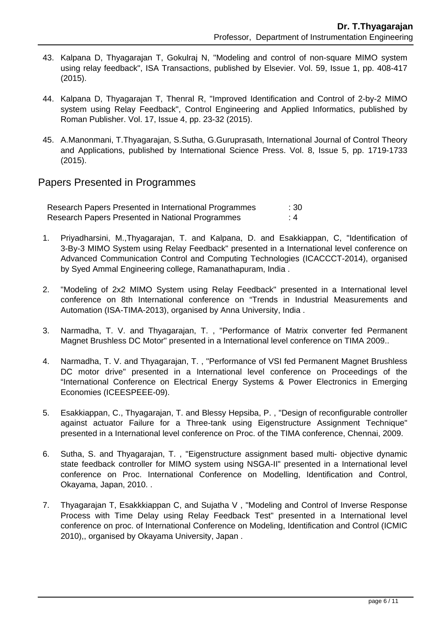- 43. Kalpana D, Thyagarajan T, Gokulraj N, "Modeling and control of non-square MIMO system using relay feedback", ISA Transactions, published by Elsevier. Vol. 59, Issue 1, pp. 408-417 (2015).
- 44. Kalpana D, Thyagarajan T, Thenral R, "Improved Identification and Control of 2-by-2 MIMO system using Relay Feedback", Control Engineering and Applied Informatics, published by Roman Publisher. Vol. 17, Issue 4, pp. 23-32 (2015).
- 45. A.Manonmani, T.Thyagarajan, S.Sutha, G.Guruprasath, International Journal of Control Theory and Applications, published by International Science Press. Vol. 8, Issue 5, pp. 1719-1733 (2015).

#### Papers Presented in Programmes

Research Papers Presented in International Programmes : 30 Research Papers Presented in National Programmes : 4

- 1. Priyadharsini, M.,Thyagarajan, T. and Kalpana, D. and Esakkiappan, C, "Identification of 3-By-3 MIMO System using Relay Feedback" presented in a International level conference on Advanced Communication Control and Computing Technologies (ICACCCT-2014), organised by Syed Ammal Engineering college, Ramanathapuram, India .
- 2. "Modeling of 2x2 MIMO System using Relay Feedback" presented in a International level conference on 8th International conference on "Trends in Industrial Measurements and Automation (ISA-TIMA-2013), organised by Anna University, India .
- 3. Narmadha, T. V. and Thyagarajan, T. , "Performance of Matrix converter fed Permanent Magnet Brushless DC Motor" presented in a International level conference on TIMA 2009..
- 4. Narmadha, T. V. and Thyagarajan, T. , "Performance of VSI fed Permanent Magnet Brushless DC motor drive" presented in a International level conference on Proceedings of the "International Conference on Electrical Energy Systems & Power Electronics in Emerging Economies (ICEESPEEE-09).
- 5. Esakkiappan, C., Thyagarajan, T. and Blessy Hepsiba, P. , "Design of reconfigurable controller against actuator Failure for a Three-tank using Eigenstructure Assignment Technique" presented in a International level conference on Proc. of the TIMA conference, Chennai, 2009.
- 6. Sutha, S. and Thyagarajan, T. , "Eigenstructure assignment based multi- objective dynamic state feedback controller for MIMO system using NSGA-II" presented in a International level conference on Proc. International Conference on Modelling, Identification and Control, Okayama, Japan, 2010. .
- 7. Thyagarajan T, Esakkkiappan C, and Sujatha V , "Modeling and Control of Inverse Response Process with Time Delay using Relay Feedback Test" presented in a International level conference on proc. of International Conference on Modeling, Identification and Control (ICMIC 2010),, organised by Okayama University, Japan .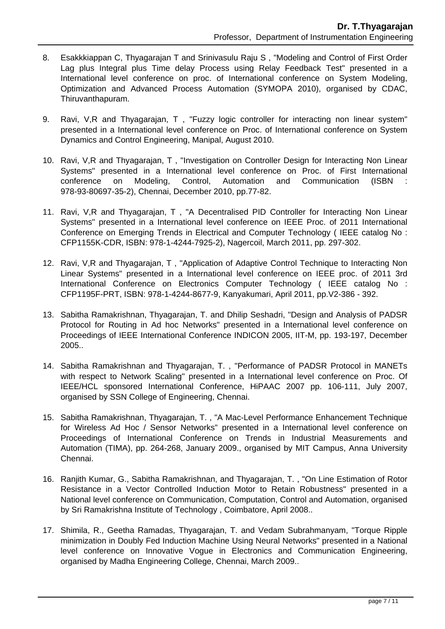- 8. Esakkkiappan C, Thyagarajan T and Srinivasulu Raju S , "Modeling and Control of First Order Lag plus Integral plus Time delay Process using Relay Feedback Test" presented in a International level conference on proc. of International conference on System Modeling, Optimization and Advanced Process Automation (SYMOPA 2010), organised by CDAC, Thiruvanthapuram.
- 9. Ravi, V,R and Thyagarajan, T , "Fuzzy logic controller for interacting non linear system" presented in a International level conference on Proc. of International conference on System Dynamics and Control Engineering, Manipal, August 2010.
- 10. Ravi, V,R and Thyagarajan, T , "Investigation on Controller Design for Interacting Non Linear Systems" presented in a International level conference on Proc. of First International conference on Modeling, Control, Automation and Communication (ISBN : 978-93-80697-35-2), Chennai, December 2010, pp.77-82.
- 11. Ravi, V,R and Thyagarajan, T , "A Decentralised PID Controller for Interacting Non Linear Systems" presented in a International level conference on IEEE Proc. of 2011 International Conference on Emerging Trends in Electrical and Computer Technology ( IEEE catalog No : CFP1155K-CDR, ISBN: 978-1-4244-7925-2), Nagercoil, March 2011, pp. 297-302.
- 12. Ravi, V,R and Thyagarajan, T , "Application of Adaptive Control Technique to Interacting Non Linear Systems" presented in a International level conference on IEEE proc. of 2011 3rd International Conference on Electronics Computer Technology (IEEE catalog No : CFP1195F-PRT, ISBN: 978-1-4244-8677-9, Kanyakumari, April 2011, pp.V2-386 - 392.
- 13. Sabitha Ramakrishnan, Thyagarajan, T. and Dhilip Seshadri, "Design and Analysis of PADSR Protocol for Routing in Ad hoc Networks" presented in a International level conference on Proceedings of IEEE International Conference INDICON 2005, IIT-M, pp. 193-197, December 2005..
- 14. Sabitha Ramakrishnan and Thyagarajan, T. , "Performance of PADSR Protocol in MANETs with respect to Network Scaling" presented in a International level conference on Proc. Of IEEE/HCL sponsored International Conference, HiPAAC 2007 pp. 106-111, July 2007, organised by SSN College of Engineering, Chennai.
- 15. Sabitha Ramakrishnan, Thyagarajan, T. , "A Mac-Level Performance Enhancement Technique for Wireless Ad Hoc / Sensor Networks" presented in a International level conference on Proceedings of International Conference on Trends in Industrial Measurements and Automation (TIMA), pp. 264-268, January 2009., organised by MIT Campus, Anna University Chennai.
- 16. Ranjith Kumar, G., Sabitha Ramakrishnan, and Thyagarajan, T. , "On Line Estimation of Rotor Resistance in a Vector Controlled Induction Motor to Retain Robustness" presented in a National level conference on Communication, Computation, Control and Automation, organised by Sri Ramakrishna Institute of Technology , Coimbatore, April 2008..
- 17. Shimila, R., Geetha Ramadas, Thyagarajan, T. and Vedam Subrahmanyam, "Torque Ripple minimization in Doubly Fed Induction Machine Using Neural Networks" presented in a National level conference on Innovative Vogue in Electronics and Communication Engineering, organised by Madha Engineering College, Chennai, March 2009..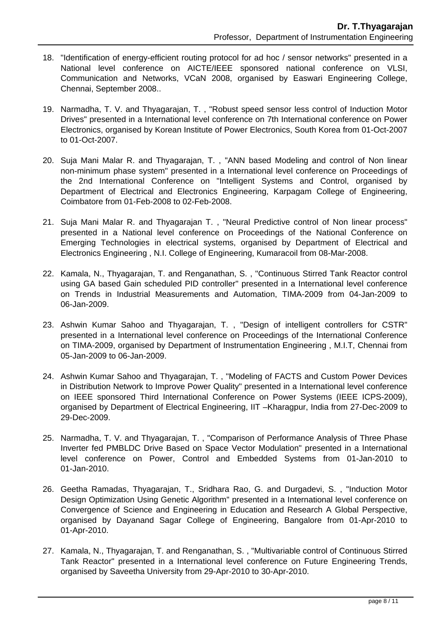- 18. "Identification of energy-efficient routing protocol for ad hoc / sensor networks" presented in a National level conference on AICTE/IEEE sponsored national conference on VLSI, Communication and Networks, VCaN 2008, organised by Easwari Engineering College, Chennai, September 2008..
- 19. Narmadha, T. V. and Thyagarajan, T. , "Robust speed sensor less control of Induction Motor Drives" presented in a International level conference on 7th International conference on Power Electronics, organised by Korean Institute of Power Electronics, South Korea from 01-Oct-2007 to 01-Oct-2007.
- 20. Suja Mani Malar R. and Thyagarajan, T. , "ANN based Modeling and control of Non linear non-minimum phase system" presented in a International level conference on Proceedings of the 2nd International Conference on "Intelligent Systems and Control, organised by Department of Electrical and Electronics Engineering, Karpagam College of Engineering, Coimbatore from 01-Feb-2008 to 02-Feb-2008.
- 21. Suja Mani Malar R. and Thyagarajan T. , "Neural Predictive control of Non linear process" presented in a National level conference on Proceedings of the National Conference on Emerging Technologies in electrical systems, organised by Department of Electrical and Electronics Engineering , N.I. College of Engineering, Kumaracoil from 08-Mar-2008.
- 22. Kamala, N., Thyagarajan, T. and Renganathan, S. , "Continuous Stirred Tank Reactor control using GA based Gain scheduled PID controller" presented in a International level conference on Trends in Industrial Measurements and Automation, TIMA-2009 from 04-Jan-2009 to 06-Jan-2009.
- 23. Ashwin Kumar Sahoo and Thyagarajan, T. , "Design of intelligent controllers for CSTR" presented in a International level conference on Proceedings of the International Conference on TIMA-2009, organised by Department of Instrumentation Engineering , M.I.T, Chennai from 05-Jan-2009 to 06-Jan-2009.
- 24. Ashwin Kumar Sahoo and Thyagarajan, T. , "Modeling of FACTS and Custom Power Devices in Distribution Network to Improve Power Quality" presented in a International level conference on IEEE sponsored Third International Conference on Power Systems (IEEE ICPS-2009), organised by Department of Electrical Engineering, IIT –Kharagpur, India from 27-Dec-2009 to 29-Dec-2009.
- 25. Narmadha, T. V. and Thyagarajan, T. , "Comparison of Performance Analysis of Three Phase Inverter fed PMBLDC Drive Based on Space Vector Modulation" presented in a International level conference on Power, Control and Embedded Systems from 01-Jan-2010 to 01-Jan-2010.
- 26. Geetha Ramadas, Thyagarajan, T., Sridhara Rao, G. and Durgadevi, S. , "Induction Motor Design Optimization Using Genetic Algorithm" presented in a International level conference on Convergence of Science and Engineering in Education and Research A Global Perspective, organised by Dayanand Sagar College of Engineering, Bangalore from 01-Apr-2010 to 01-Apr-2010.
- 27. Kamala, N., Thyagarajan, T. and Renganathan, S. , "Multivariable control of Continuous Stirred Tank Reactor" presented in a International level conference on Future Engineering Trends, organised by Saveetha University from 29-Apr-2010 to 30-Apr-2010.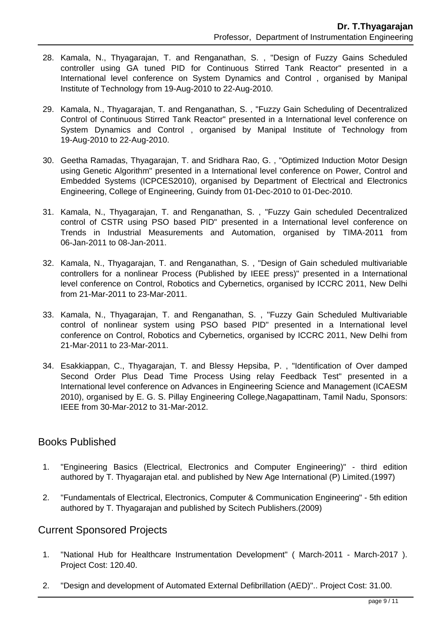- 28. Kamala, N., Thyagarajan, T. and Renganathan, S. , "Design of Fuzzy Gains Scheduled controller using GA tuned PID for Continuous Stirred Tank Reactor" presented in a International level conference on System Dynamics and Control , organised by Manipal Institute of Technology from 19-Aug-2010 to 22-Aug-2010.
- 29. Kamala, N., Thyagarajan, T. and Renganathan, S. , "Fuzzy Gain Scheduling of Decentralized Control of Continuous Stirred Tank Reactor" presented in a International level conference on System Dynamics and Control , organised by Manipal Institute of Technology from 19-Aug-2010 to 22-Aug-2010.
- 30. Geetha Ramadas, Thyagarajan, T. and Sridhara Rao, G. , "Optimized Induction Motor Design using Genetic Algorithm" presented in a International level conference on Power, Control and Embedded Systems (ICPCES2010), organised by Department of Electrical and Electronics Engineering, College of Engineering, Guindy from 01-Dec-2010 to 01-Dec-2010.
- 31. Kamala, N., Thyagarajan, T. and Renganathan, S. , "Fuzzy Gain scheduled Decentralized control of CSTR using PSO based PID" presented in a International level conference on Trends in Industrial Measurements and Automation, organised by TIMA-2011 from 06-Jan-2011 to 08-Jan-2011.
- 32. Kamala, N., Thyagarajan, T. and Renganathan, S. , "Design of Gain scheduled multivariable controllers for a nonlinear Process (Published by IEEE press)" presented in a International level conference on Control, Robotics and Cybernetics, organised by ICCRC 2011, New Delhi from 21-Mar-2011 to 23-Mar-2011.
- 33. Kamala, N., Thyagarajan, T. and Renganathan, S. , "Fuzzy Gain Scheduled Multivariable control of nonlinear system using PSO based PID" presented in a International level conference on Control, Robotics and Cybernetics, organised by ICCRC 2011, New Delhi from 21-Mar-2011 to 23-Mar-2011.
- 34. Esakkiappan, C., Thyagarajan, T. and Blessy Hepsiba, P. , "Identification of Over damped Second Order Plus Dead Time Process Using relay Feedback Test" presented in a International level conference on Advances in Engineering Science and Management (ICAESM 2010), organised by E. G. S. Pillay Engineering College,Nagapattinam, Tamil Nadu, Sponsors: IEEE from 30-Mar-2012 to 31-Mar-2012.

### Books Published

- 1. "Engineering Basics (Electrical, Electronics and Computer Engineering)" third edition authored by T. Thyagarajan etal. and published by New Age International (P) Limited.(1997)
- 2. "Fundamentals of Electrical, Electronics, Computer & Communication Engineering" 5th edition authored by T. Thyagarajan and published by Scitech Publishers.(2009)

## Current Sponsored Projects

- 1. "National Hub for Healthcare Instrumentation Development" ( March-2011 March-2017 ). Project Cost: 120.40.
- 2. "Design and development of Automated External Defibrillation (AED)".. Project Cost: 31.00.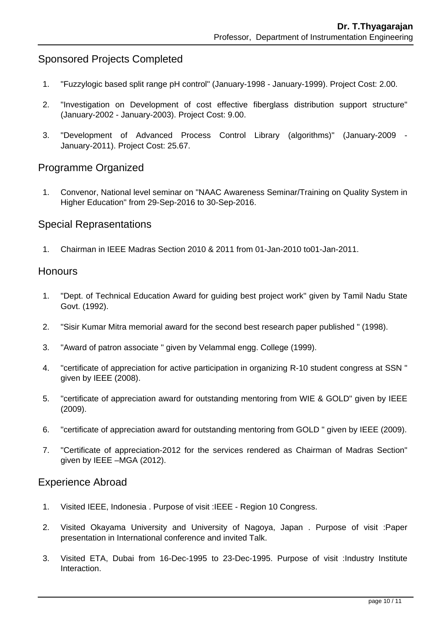# Sponsored Projects Completed

- 1. "Fuzzylogic based split range pH control" (January-1998 January-1999). Project Cost: 2.00.
- 2. "Investigation on Development of cost effective fiberglass distribution support structure" (January-2002 - January-2003). Project Cost: 9.00.
- 3. "Development of Advanced Process Control Library (algorithms)" (January-2009 January-2011). Project Cost: 25.67.

### Programme Organized

 1. Convenor, National level seminar on "NAAC Awareness Seminar/Training on Quality System in Higher Education" from 29-Sep-2016 to 30-Sep-2016.

#### Special Reprasentations

1. Chairman in IEEE Madras Section 2010 & 2011 from 01-Jan-2010 to01-Jan-2011.

#### **Honours**

- 1. "Dept. of Technical Education Award for guiding best project work" given by Tamil Nadu State Govt. (1992).
- 2. "Sisir Kumar Mitra memorial award for the second best research paper published " (1998).
- 3. "Award of patron associate " given by Velammal engg. College (1999).
- 4. "certificate of appreciation for active participation in organizing R-10 student congress at SSN " given by IEEE (2008).
- 5. "certificate of appreciation award for outstanding mentoring from WIE & GOLD" given by IEEE (2009).
- 6. "certificate of appreciation award for outstanding mentoring from GOLD " given by IEEE (2009).
- 7. "Certificate of appreciation-2012 for the services rendered as Chairman of Madras Section" given by IEEE –MGA (2012).

#### Experience Abroad

- 1. Visited IEEE, Indonesia . Purpose of visit :IEEE Region 10 Congress.
- 2. Visited Okayama University and University of Nagoya, Japan . Purpose of visit :Paper presentation in International conference and invited Talk.
- 3. Visited ETA, Dubai from 16-Dec-1995 to 23-Dec-1995. Purpose of visit :Industry Institute Interaction.